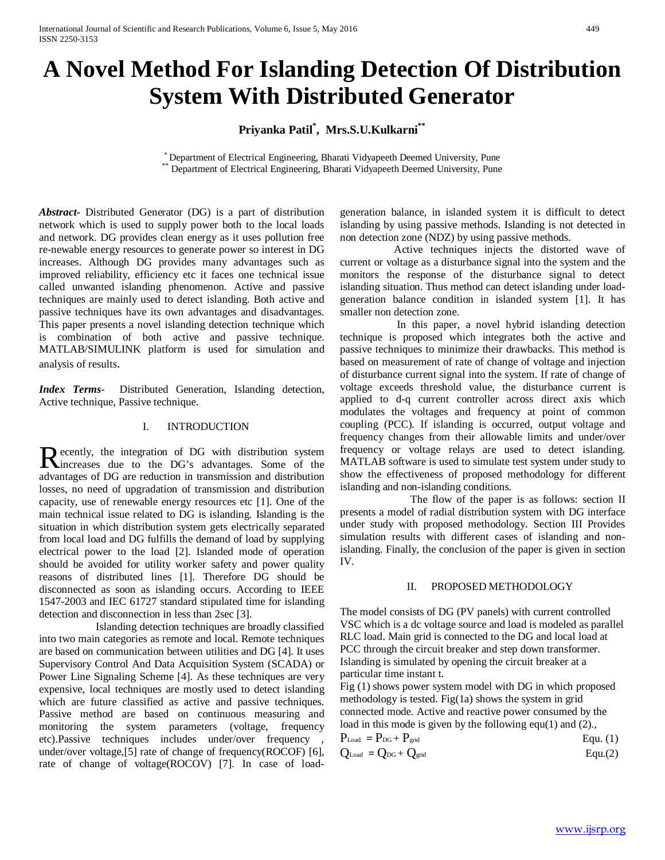# **A Novel Method For Islanding Detection Of Distribution System With Distributed Generator**

**Priyanka Patil\* , Mrs.S.U.Kulkarni\*\***

\* Department of Electrical Engineering, Bharati Vidyapeeth Deemed University, Pune \*\* Department of Electrical Engineering, Bharati Vidyapeeth Deemed University, Pune

*Abstract***-** Distributed Generator (DG) is a part of distribution network which is used to supply power both to the local loads and network. DG provides clean energy as it uses pollution free re-newable energy resources to generate power so interest in DG increases. Although DG provides many advantages such as improved reliability, efficiency etc it faces one technical issue called unwanted islanding phenomenon. Active and passive techniques are mainly used to detect islanding. Both active and passive techniques have its own advantages and disadvantages. This paper presents a novel islanding detection technique which is combination of both active and passive technique. MATLAB/SIMULINK platform is used for simulation and analysis of results.

*Index Terms*- Distributed Generation, Islanding detection, Active technique, Passive technique.

#### I. INTRODUCTION

ecently, the integration of DG with distribution system Recently, the integration of DG with distribution system<br>
Rincreases due to the DG's advantages. Some of the advantages of DG are reduction in transmission and distribution losses, no need of upgradation of transmission and distribution capacity, use of renewable energy resources etc [1]. One of the main technical issue related to DG is islanding. Islanding is the situation in which distribution system gets electrically separated from local load and DG fulfills the demand of load by supplying electrical power to the load [2]. Islanded mode of operation should be avoided for utility worker safety and power quality reasons of distributed lines [1]. Therefore DG should be disconnected as soon as islanding occurs. According to IEEE 1547-2003 and IEC 61727 standard stipulated time for islanding detection and disconnection in less than 2sec [3].

 Islanding detection techniques are broadly classified into two main categories as remote and local. Remote techniques are based on communication between utilities and DG [4]. It uses Supervisory Control And Data Acquisition System (SCADA) or Power Line Signaling Scheme [4]. As these techniques are very expensive, local techniques are mostly used to detect islanding which are future classified as active and passive techniques. Passive method are based on continuous measuring and monitoring the system parameters (voltage, frequency etc).Passive techniques includes under/over frequency , under/over voltage,[5] rate of change of frequency(ROCOF) [6], rate of change of voltage(ROCOV) [7]. In case of loadgeneration balance, in islanded system it is difficult to detect islanding by using passive methods. Islanding is not detected in non detection zone (NDZ) by using passive methods.

 Active techniques injects the distorted wave of current or voltage as a disturbance signal into the system and the monitors the response of the disturbance signal to detect islanding situation. Thus method can detect islanding under loadgeneration balance condition in islanded system [1]. It has smaller non detection zone.

 In this paper, a novel hybrid islanding detection technique is proposed which integrates both the active and passive techniques to minimize their drawbacks. This method is based on measurement of rate of change of voltage and injection of disturbance current signal into the system. If rate of change of voltage exceeds threshold value, the disturbance current is applied to d-q current controller across direct axis which modulates the voltages and frequency at point of common coupling (PCC). If islanding is occurred, output voltage and frequency changes from their allowable limits and under/over frequency or voltage relays are used to detect islanding. MATLAB software is used to simulate test system under study to show the effectiveness of proposed methodology for different islanding and non-islanding conditions.

 The flow of the paper is as follows: section II presents a model of radial distribution system with DG interface under study with proposed methodology. Section III Provides simulation results with different cases of islanding and nonislanding. Finally, the conclusion of the paper is given in section IV.

#### II. PROPOSED METHODOLOGY

The model consists of DG (PV panels) with current controlled VSC which is a dc voltage source and load is modeled as parallel RLC load. Main grid is connected to the DG and local load at PCC through the circuit breaker and step down transformer. Islanding is simulated by opening the circuit breaker at a particular time instant t.

Fig (1) shows power system model with DG in which proposed methodology is tested. Fig(1a) shows the system in grid connected mode. Active and reactive power consumed by the load in this mode is given by the following equ(1) and (2).,

| $P_{\text{Load}} = P_{\text{DG}} + P_{\text{grid}}$ | Equ. $(1)$ |
|-----------------------------------------------------|------------|
|                                                     |            |

$$
Q_{\text{Load}} = Q_{\text{DG}} + Q_{\text{grid}} \qquad \qquad \text{Equ.}(2)
$$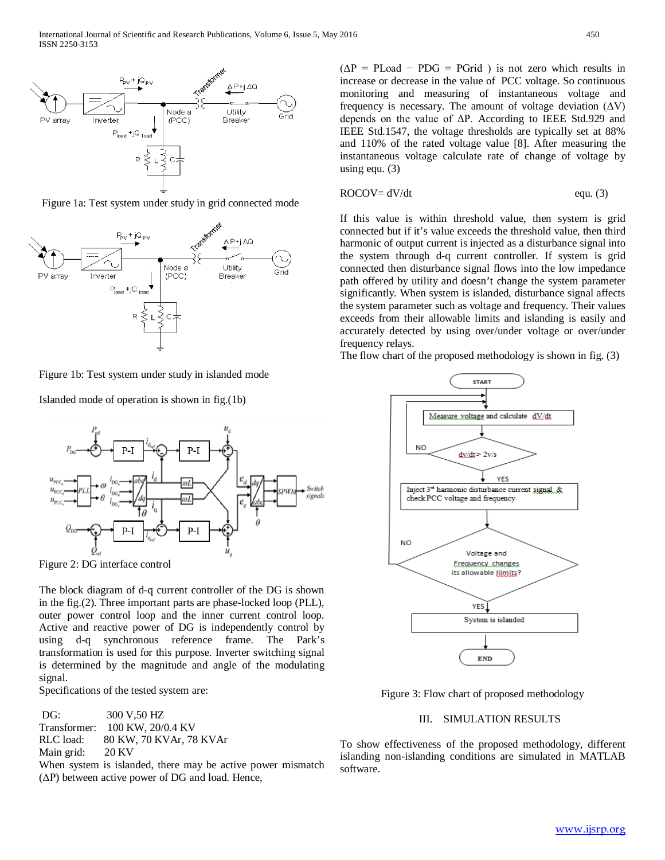





Figure 1b: Test system under study in islanded mode

Islanded mode of operation is shown in fig.(1b)



Figure 2: DG interface control

The block diagram of d-q current controller of the DG is shown in the fig.(2). Three important parts are phase-locked loop (PLL), outer power control loop and the inner current control loop. Active and reactive power of DG is independently control by using d-q synchronous reference frame. The Park's transformation is used for this purpose. Inverter switching signal is determined by the magnitude and angle of the modulating signal.

Specifications of the tested system are:

DG: 300 V,50 HZ Transformer: 100 KW, 20/0.4 KV RLC load: 80 KW, 70 KVAr, 78 KVAr<br>Main grid: 20 KV Main grid:

When system is islanded, there may be active power mismatch  $(\Delta P)$  between active power of DG and load. Hence,

 $(\Delta P = PLoad - PDG = PGrid)$  is not zero which results in increase or decrease in the value of PCC voltage. So continuous monitoring and measuring of instantaneous voltage and frequency is necessary. The amount of voltage deviation  $(ΔV)$ depends on the value of ΔP. According to IEEE Std.929 and IEEE Std.1547, the voltage thresholds are typically set at 88% and 110% of the rated voltage value [8]. After measuring the instantaneous voltage calculate rate of change of voltage by using equ. (3)

$$
ROCOV = dV/dt \qquad \qquad \text{equ. (3)}
$$

If this value is within threshold value, then system is grid connected but if it's value exceeds the threshold value, then third harmonic of output current is injected as a disturbance signal into the system through d-q current controller. If system is grid connected then disturbance signal flows into the low impedance path offered by utility and doesn't change the system parameter significantly. When system is islanded, disturbance signal affects the system parameter such as voltage and frequency. Their values exceeds from their allowable limits and islanding is easily and accurately detected by using over/under voltage or over/under frequency relays.

The flow chart of the proposed methodology is shown in fig. (3)



Figure 3: Flow chart of proposed methodology

## III. SIMULATION RESULTS

To show effectiveness of the proposed methodology, different islanding non-islanding conditions are simulated in MATLAB software.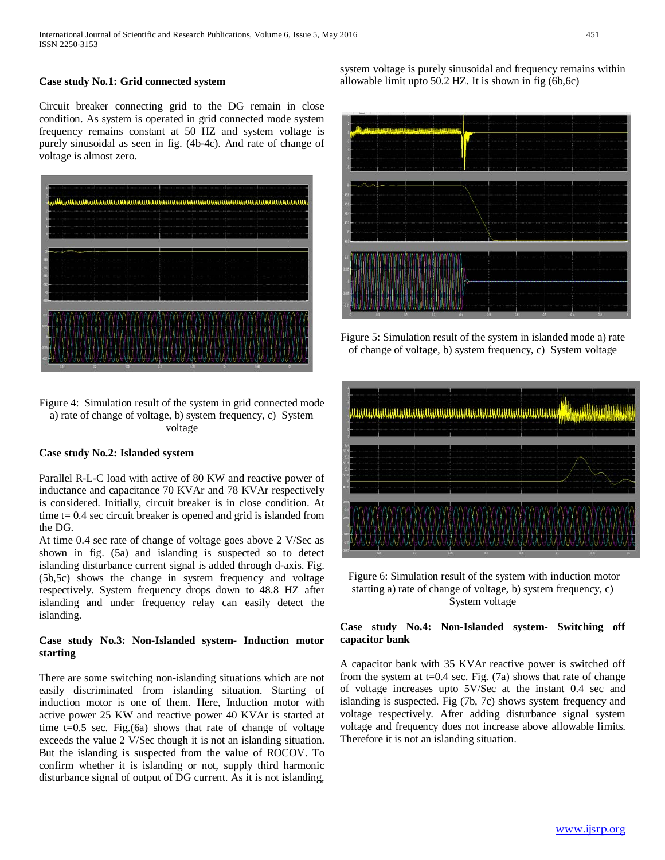## **Case study No.1: Grid connected system**

Circuit breaker connecting grid to the DG remain in close condition. As system is operated in grid connected mode system frequency remains constant at 50 HZ and system voltage is purely sinusoidal as seen in fig. (4b-4c). And rate of change of voltage is almost zero.



Figure 4: Simulation result of the system in grid connected mode a) rate of change of voltage, b) system frequency, c) System voltage

## **Case study No.2: Islanded system**

Parallel R-L-C load with active of 80 KW and reactive power of inductance and capacitance 70 KVAr and 78 KVAr respectively is considered. Initially, circuit breaker is in close condition. At time  $t = 0.4$  sec circuit breaker is opened and grid is islanded from the DG.

At time 0.4 sec rate of change of voltage goes above 2 V/Sec as shown in fig. (5a) and islanding is suspected so to detect islanding disturbance current signal is added through d-axis. Fig. (5b,5c) shows the change in system frequency and voltage respectively. System frequency drops down to 48.8 HZ after islanding and under frequency relay can easily detect the islanding.

### **Case study No.3: Non-Islanded system- Induction motor starting**

There are some switching non-islanding situations which are not easily discriminated from islanding situation. Starting of induction motor is one of them. Here, Induction motor with active power 25 KW and reactive power 40 KVAr is started at time  $t=0.5$  sec. Fig.(6a) shows that rate of change of voltage exceeds the value 2 V/Sec though it is not an islanding situation. But the islanding is suspected from the value of ROCOV. To confirm whether it is islanding or not, supply third harmonic disturbance signal of output of DG current. As it is not islanding, system voltage is purely sinusoidal and frequency remains within allowable limit upto 50.2 HZ. It is shown in fig (6b,6c)



Figure 5: Simulation result of the system in islanded mode a) rate of change of voltage, b) system frequency, c) System voltage



Figure 6: Simulation result of the system with induction motor starting a) rate of change of voltage, b) system frequency, c) System voltage

## **Case study No.4: Non-Islanded system- Switching off capacitor bank**

A capacitor bank with 35 KVAr reactive power is switched off from the system at t=0.4 sec. Fig.  $(7a)$  shows that rate of change of voltage increases upto 5V/Sec at the instant 0.4 sec and islanding is suspected. Fig (7b, 7c) shows system frequency and voltage respectively. After adding disturbance signal system voltage and frequency does not increase above allowable limits. Therefore it is not an islanding situation.